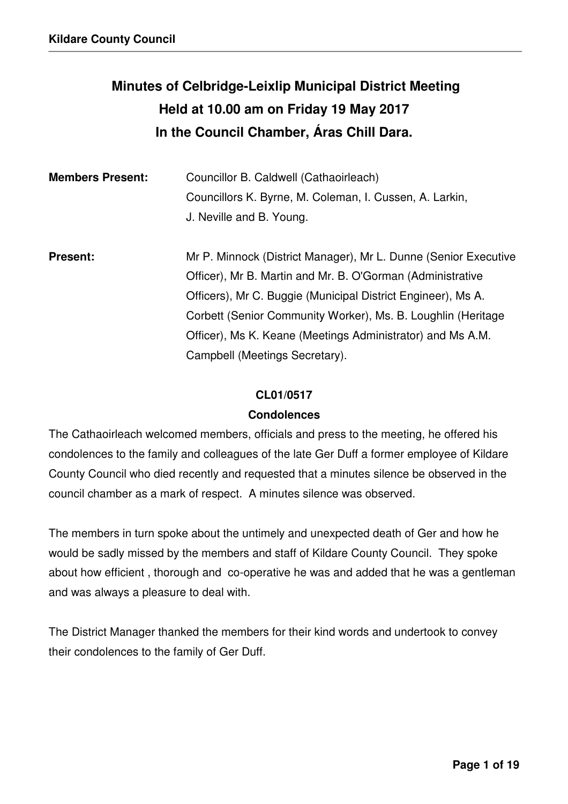# **Minutes of Celbridge-Leixlip Municipal District Meeting Held at 10.00 am on Friday 19 May 2017 In the Council Chamber, Áras Chill Dara.**

| <b>Members Present:</b> | Councillor B. Caldwell (Cathaoirleach)<br>Councillors K. Byrne, M. Coleman, I. Cussen, A. Larkin,<br>J. Neville and B. Young.                                                                                                                                                                                                                                 |
|-------------------------|---------------------------------------------------------------------------------------------------------------------------------------------------------------------------------------------------------------------------------------------------------------------------------------------------------------------------------------------------------------|
| <b>Present:</b>         | Mr P. Minnock (District Manager), Mr L. Dunne (Senior Executive<br>Officer), Mr B. Martin and Mr. B. O'Gorman (Administrative<br>Officers), Mr C. Buggie (Municipal District Engineer), Ms A.<br>Corbett (Senior Community Worker), Ms. B. Loughlin (Heritage<br>Officer), Ms K. Keane (Meetings Administrator) and Ms A.M.<br>Campbell (Meetings Secretary). |

#### **CL01/0517**

#### **Condolences**

The Cathaoirleach welcomed members, officials and press to the meeting, he offered his condolences to the family and colleagues of the late Ger Duff a former employee of Kildare County Council who died recently and requested that a minutes silence be observed in the council chamber as a mark of respect. A minutes silence was observed.

The members in turn spoke about the untimely and unexpected death of Ger and how he would be sadly missed by the members and staff of Kildare County Council. They spoke about how efficient , thorough and co-operative he was and added that he was a gentleman and was always a pleasure to deal with.

The District Manager thanked the members for their kind words and undertook to convey their condolences to the family of Ger Duff.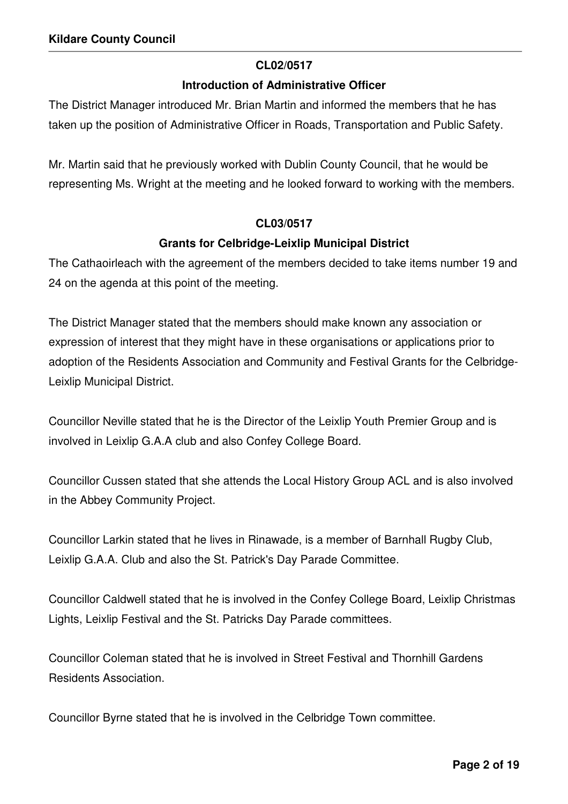### **CL02/0517**

#### **Introduction of Administrative Officer**

The District Manager introduced Mr. Brian Martin and informed the members that he has taken up the position of Administrative Officer in Roads, Transportation and Public Safety.

Mr. Martin said that he previously worked with Dublin County Council, that he would be representing Ms. Wright at the meeting and he looked forward to working with the members.

## **CL03/0517**

## **Grants for Celbridge-Leixlip Municipal District**

The Cathaoirleach with the agreement of the members decided to take items number 19 and 24 on the agenda at this point of the meeting.

The District Manager stated that the members should make known any association or expression of interest that they might have in these organisations or applications prior to adoption of the Residents Association and Community and Festival Grants for the Celbridge-Leixlip Municipal District.

Councillor Neville stated that he is the Director of the Leixlip Youth Premier Group and is involved in Leixlip G.A.A club and also Confey College Board.

Councillor Cussen stated that she attends the Local History Group ACL and is also involved in the Abbey Community Project.

Councillor Larkin stated that he lives in Rinawade, is a member of Barnhall Rugby Club, Leixlip G.A.A. Club and also the St. Patrick's Day Parade Committee.

Councillor Caldwell stated that he is involved in the Confey College Board, Leixlip Christmas Lights, Leixlip Festival and the St. Patricks Day Parade committees.

Councillor Coleman stated that he is involved in Street Festival and Thornhill Gardens Residents Association.

Councillor Byrne stated that he is involved in the Celbridge Town committee.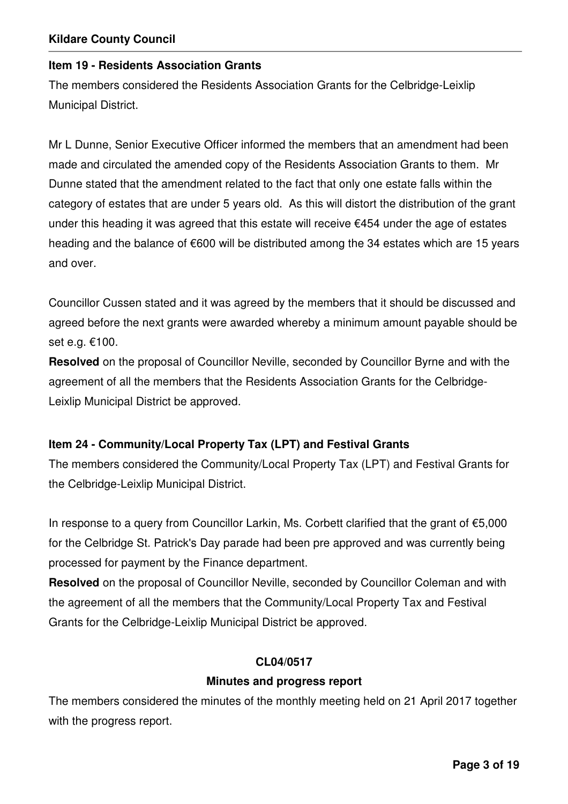#### **Item 19 - Residents Association Grants**

The members considered the Residents Association Grants for the Celbridge-Leixlip Municipal District.

Mr L Dunne, Senior Executive Officer informed the members that an amendment had been made and circulated the amended copy of the Residents Association Grants to them. Mr Dunne stated that the amendment related to the fact that only one estate falls within the category of estates that are under 5 years old. As this will distort the distribution of the grant under this heading it was agreed that this estate will receive €454 under the age of estates heading and the balance of €600 will be distributed among the 34 estates which are 15 years and over.

Councillor Cussen stated and it was agreed by the members that it should be discussed and agreed before the next grants were awarded whereby a minimum amount payable should be set e.g. €100.

**Resolved** on the proposal of Councillor Neville, seconded by Councillor Byrne and with the agreement of all the members that the Residents Association Grants for the Celbridge-Leixlip Municipal District be approved.

#### **Item 24 - Community/Local Property Tax (LPT) and Festival Grants**

The members considered the Community/Local Property Tax (LPT) and Festival Grants for the Celbridge-Leixlip Municipal District.

In response to a query from Councillor Larkin, Ms. Corbett clarified that the grant of €5,000 for the Celbridge St. Patrick's Day parade had been pre approved and was currently being processed for payment by the Finance department.

**Resolved** on the proposal of Councillor Neville, seconded by Councillor Coleman and with the agreement of all the members that the Community/Local Property Tax and Festival Grants for the Celbridge-Leixlip Municipal District be approved.

#### **CL04/0517**

#### **Minutes and progress report**

The members considered the minutes of the monthly meeting held on 21 April 2017 together with the progress report.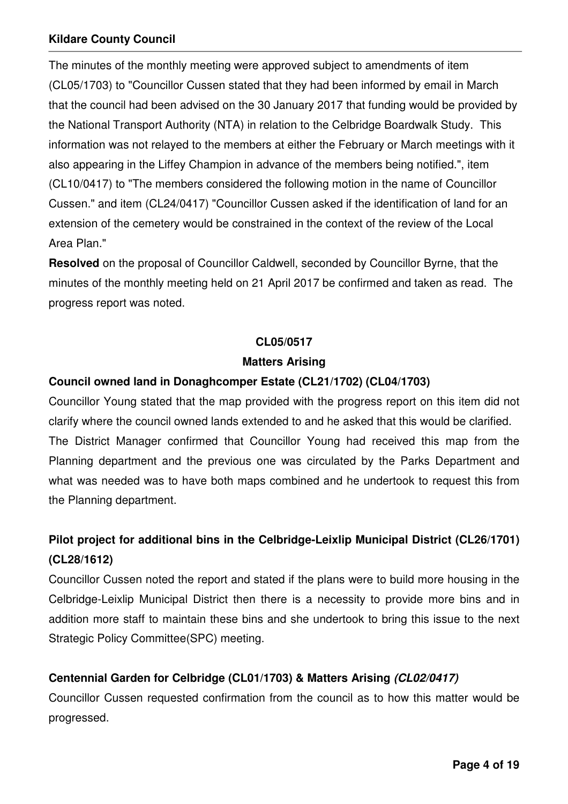The minutes of the monthly meeting were approved subject to amendments of item (CL05/1703) to "Councillor Cussen stated that they had been informed by email in March that the council had been advised on the 30 January 2017 that funding would be provided by the National Transport Authority (NTA) in relation to the Celbridge Boardwalk Study. This information was not relayed to the members at either the February or March meetings with it also appearing in the Liffey Champion in advance of the members being notified.", item (CL10/0417) to "The members considered the following motion in the name of Councillor Cussen." and item (CL24/0417) "Councillor Cussen asked if the identification of land for an extension of the cemetery would be constrained in the context of the review of the Local Area Plan."

**Resolved** on the proposal of Councillor Caldwell, seconded by Councillor Byrne, that the minutes of the monthly meeting held on 21 April 2017 be confirmed and taken as read. The progress report was noted.

#### **CL05/0517**

#### **Matters Arising**

#### **Council owned land in Donaghcomper Estate (CL21/1702) (CL04/1703)**

Councillor Young stated that the map provided with the progress report on this item did not clarify where the council owned lands extended to and he asked that this would be clarified. The District Manager confirmed that Councillor Young had received this map from the Planning department and the previous one was circulated by the Parks Department and what was needed was to have both maps combined and he undertook to request this from the Planning department.

## **Pilot project for additional bins in the Celbridge-Leixlip Municipal District (CL26/1701) (CL28/1612)**

Councillor Cussen noted the report and stated if the plans were to build more housing in the Celbridge-Leixlip Municipal District then there is a necessity to provide more bins and in addition more staff to maintain these bins and she undertook to bring this issue to the next Strategic Policy Committee(SPC) meeting.

## **Centennial Garden for Celbridge (CL01/1703) & Matters Arising (CL02/0417)**

Councillor Cussen requested confirmation from the council as to how this matter would be progressed.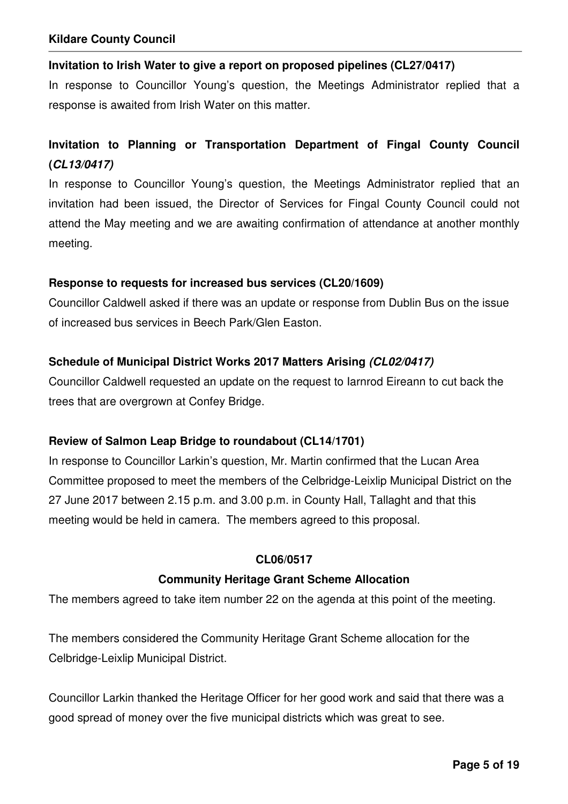#### **Invitation to Irish Water to give a report on proposed pipelines (CL27/0417)**

In response to Councillor Young's question, the Meetings Administrator replied that a response is awaited from Irish Water on this matter.

## **Invitation to Planning or Transportation Department of Fingal County Council (CL13/0417)**

In response to Councillor Young's question, the Meetings Administrator replied that an invitation had been issued, the Director of Services for Fingal County Council could not attend the May meeting and we are awaiting confirmation of attendance at another monthly meeting.

#### **Response to requests for increased bus services (CL20/1609)**

Councillor Caldwell asked if there was an update or response from Dublin Bus on the issue of increased bus services in Beech Park/Glen Easton.

### **Schedule of Municipal District Works 2017 Matters Arising (CL02/0417)**

Councillor Caldwell requested an update on the request to Iarnrod Eireann to cut back the trees that are overgrown at Confey Bridge.

#### **Review of Salmon Leap Bridge to roundabout (CL14/1701)**

In response to Councillor Larkin's question, Mr. Martin confirmed that the Lucan Area Committee proposed to meet the members of the Celbridge-Leixlip Municipal District on the 27 June 2017 between 2.15 p.m. and 3.00 p.m. in County Hall, Tallaght and that this meeting would be held in camera. The members agreed to this proposal.

#### **CL06/0517**

#### **Community Heritage Grant Scheme Allocation**

The members agreed to take item number 22 on the agenda at this point of the meeting.

The members considered the Community Heritage Grant Scheme allocation for the Celbridge-Leixlip Municipal District.

Councillor Larkin thanked the Heritage Officer for her good work and said that there was a good spread of money over the five municipal districts which was great to see.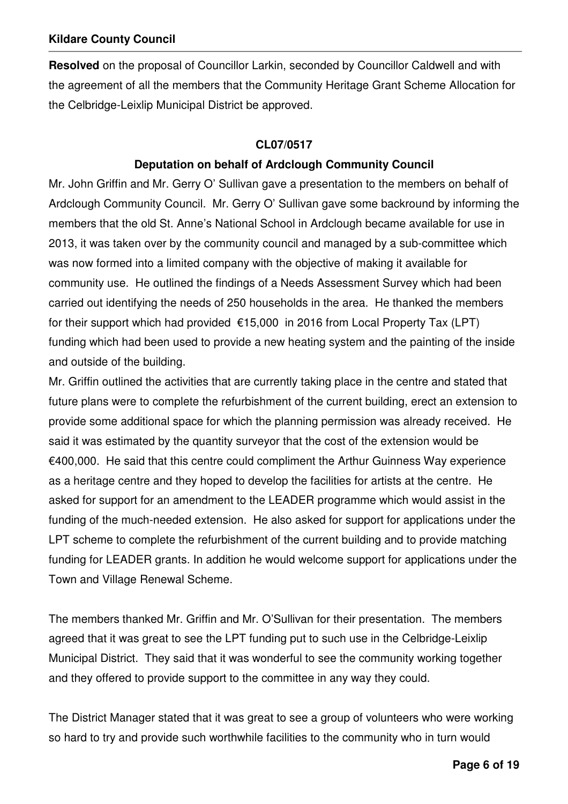**Resolved** on the proposal of Councillor Larkin, seconded by Councillor Caldwell and with the agreement of all the members that the Community Heritage Grant Scheme Allocation for the Celbridge-Leixlip Municipal District be approved.

## **CL07/0517**

## **Deputation on behalf of Ardclough Community Council**

Mr. John Griffin and Mr. Gerry O' Sullivan gave a presentation to the members on behalf of Ardclough Community Council. Mr. Gerry O' Sullivan gave some backround by informing the members that the old St. Anne's National School in Ardclough became available for use in 2013, it was taken over by the community council and managed by a sub-committee which was now formed into a limited company with the objective of making it available for community use. He outlined the findings of a Needs Assessment Survey which had been carried out identifying the needs of 250 households in the area. He thanked the members for their support which had provided €15,000 in 2016 from Local Property Tax (LPT) funding which had been used to provide a new heating system and the painting of the inside and outside of the building.

Mr. Griffin outlined the activities that are currently taking place in the centre and stated that future plans were to complete the refurbishment of the current building, erect an extension to provide some additional space for which the planning permission was already received. He said it was estimated by the quantity surveyor that the cost of the extension would be €400,000. He said that this centre could compliment the Arthur Guinness Way experience as a heritage centre and they hoped to develop the facilities for artists at the centre. He asked for support for an amendment to the LEADER programme which would assist in the funding of the much-needed extension. He also asked for support for applications under the LPT scheme to complete the refurbishment of the current building and to provide matching funding for LEADER grants. In addition he would welcome support for applications under the Town and Village Renewal Scheme.

The members thanked Mr. Griffin and Mr. O'Sullivan for their presentation. The members agreed that it was great to see the LPT funding put to such use in the Celbridge-Leixlip Municipal District. They said that it was wonderful to see the community working together and they offered to provide support to the committee in any way they could.

The District Manager stated that it was great to see a group of volunteers who were working so hard to try and provide such worthwhile facilities to the community who in turn would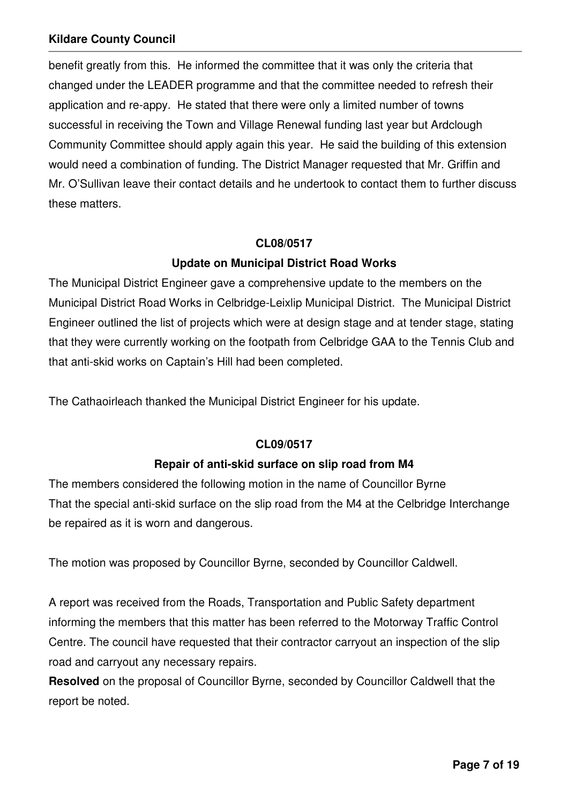benefit greatly from this. He informed the committee that it was only the criteria that changed under the LEADER programme and that the committee needed to refresh their application and re-appy. He stated that there were only a limited number of towns successful in receiving the Town and Village Renewal funding last year but Ardclough Community Committee should apply again this year. He said the building of this extension would need a combination of funding. The District Manager requested that Mr. Griffin and Mr. O'Sullivan leave their contact details and he undertook to contact them to further discuss these matters.

#### **CL08/0517**

## **Update on Municipal District Road Works**

The Municipal District Engineer gave a comprehensive update to the members on the Municipal District Road Works in Celbridge-Leixlip Municipal District. The Municipal District Engineer outlined the list of projects which were at design stage and at tender stage, stating that they were currently working on the footpath from Celbridge GAA to the Tennis Club and that anti-skid works on Captain's Hill had been completed.

The Cathaoirleach thanked the Municipal District Engineer for his update.

#### **CL09/0517**

## **Repair of anti-skid surface on slip road from M4**

The members considered the following motion in the name of Councillor Byrne That the special anti-skid surface on the slip road from the M4 at the Celbridge Interchange be repaired as it is worn and dangerous.

The motion was proposed by Councillor Byrne, seconded by Councillor Caldwell.

A report was received from the Roads, Transportation and Public Safety department informing the members that this matter has been referred to the Motorway Traffic Control Centre. The council have requested that their contractor carryout an inspection of the slip road and carryout any necessary repairs.

**Resolved** on the proposal of Councillor Byrne, seconded by Councillor Caldwell that the report be noted.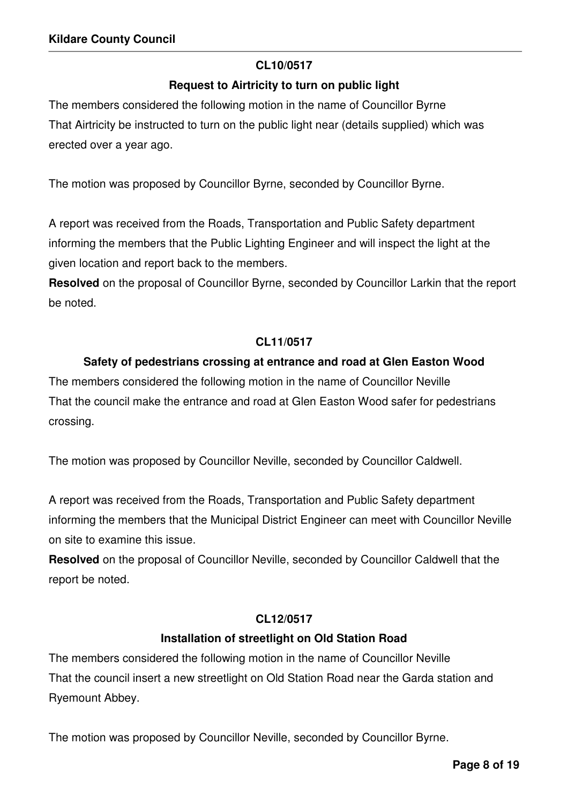## **CL10/0517**

## **Request to Airtricity to turn on public light**

The members considered the following motion in the name of Councillor Byrne That Airtricity be instructed to turn on the public light near (details supplied) which was erected over a year ago.

The motion was proposed by Councillor Byrne, seconded by Councillor Byrne.

A report was received from the Roads, Transportation and Public Safety department informing the members that the Public Lighting Engineer and will inspect the light at the given location and report back to the members.

**Resolved** on the proposal of Councillor Byrne, seconded by Councillor Larkin that the report be noted.

### **CL11/0517**

## **Safety of pedestrians crossing at entrance and road at Glen Easton Wood**

The members considered the following motion in the name of Councillor Neville That the council make the entrance and road at Glen Easton Wood safer for pedestrians crossing.

The motion was proposed by Councillor Neville, seconded by Councillor Caldwell.

A report was received from the Roads, Transportation and Public Safety department informing the members that the Municipal District Engineer can meet with Councillor Neville on site to examine this issue.

**Resolved** on the proposal of Councillor Neville, seconded by Councillor Caldwell that the report be noted.

#### **CL12/0517**

## **Installation of streetlight on Old Station Road**

The members considered the following motion in the name of Councillor Neville That the council insert a new streetlight on Old Station Road near the Garda station and Ryemount Abbey.

The motion was proposed by Councillor Neville, seconded by Councillor Byrne.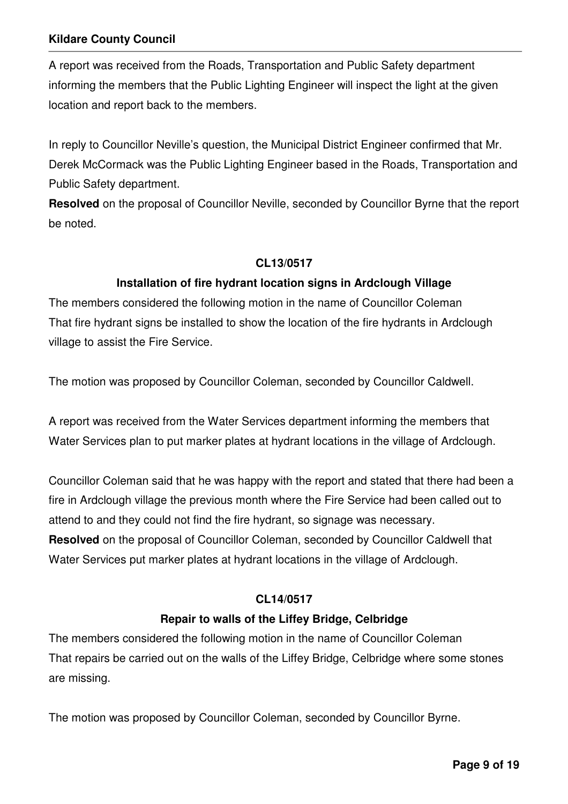A report was received from the Roads, Transportation and Public Safety department informing the members that the Public Lighting Engineer will inspect the light at the given location and report back to the members.

In reply to Councillor Neville's question, the Municipal District Engineer confirmed that Mr. Derek McCormack was the Public Lighting Engineer based in the Roads, Transportation and Public Safety department.

**Resolved** on the proposal of Councillor Neville, seconded by Councillor Byrne that the report be noted.

#### **CL13/0517**

### **Installation of fire hydrant location signs in Ardclough Village**

The members considered the following motion in the name of Councillor Coleman That fire hydrant signs be installed to show the location of the fire hydrants in Ardclough village to assist the Fire Service.

The motion was proposed by Councillor Coleman, seconded by Councillor Caldwell.

A report was received from the Water Services department informing the members that Water Services plan to put marker plates at hydrant locations in the village of Ardclough.

Councillor Coleman said that he was happy with the report and stated that there had been a fire in Ardclough village the previous month where the Fire Service had been called out to attend to and they could not find the fire hydrant, so signage was necessary. **Resolved** on the proposal of Councillor Coleman, seconded by Councillor Caldwell that Water Services put marker plates at hydrant locations in the village of Ardclough.

#### **CL14/0517**

#### **Repair to walls of the Liffey Bridge, Celbridge**

The members considered the following motion in the name of Councillor Coleman That repairs be carried out on the walls of the Liffey Bridge, Celbridge where some stones are missing.

The motion was proposed by Councillor Coleman, seconded by Councillor Byrne.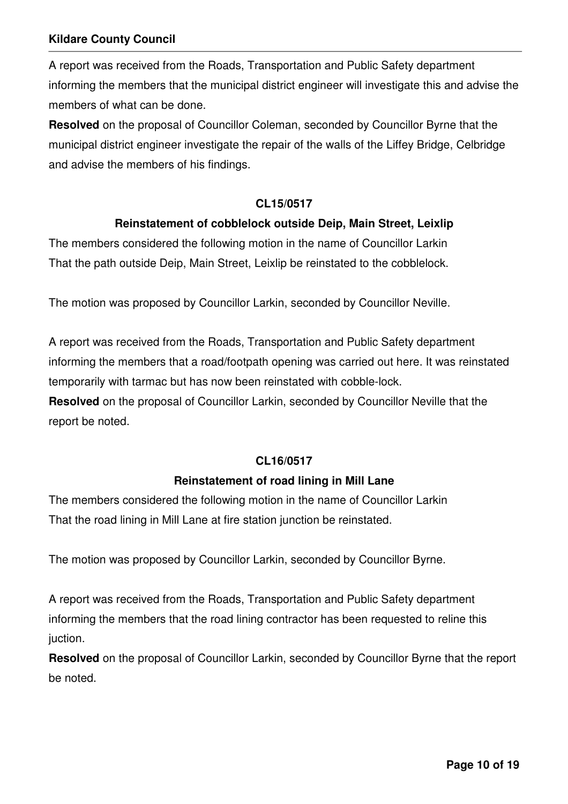A report was received from the Roads, Transportation and Public Safety department informing the members that the municipal district engineer will investigate this and advise the members of what can be done.

**Resolved** on the proposal of Councillor Coleman, seconded by Councillor Byrne that the municipal district engineer investigate the repair of the walls of the Liffey Bridge, Celbridge and advise the members of his findings.

#### **CL15/0517**

### **Reinstatement of cobblelock outside Deip, Main Street, Leixlip**

The members considered the following motion in the name of Councillor Larkin That the path outside Deip, Main Street, Leixlip be reinstated to the cobblelock.

The motion was proposed by Councillor Larkin, seconded by Councillor Neville.

A report was received from the Roads, Transportation and Public Safety department informing the members that a road/footpath opening was carried out here. It was reinstated temporarily with tarmac but has now been reinstated with cobble-lock.

**Resolved** on the proposal of Councillor Larkin, seconded by Councillor Neville that the report be noted.

#### **CL16/0517**

#### **Reinstatement of road lining in Mill Lane**

The members considered the following motion in the name of Councillor Larkin That the road lining in Mill Lane at fire station junction be reinstated.

The motion was proposed by Councillor Larkin, seconded by Councillor Byrne.

A report was received from the Roads, Transportation and Public Safety department informing the members that the road lining contractor has been requested to reline this juction.

**Resolved** on the proposal of Councillor Larkin, seconded by Councillor Byrne that the report be noted.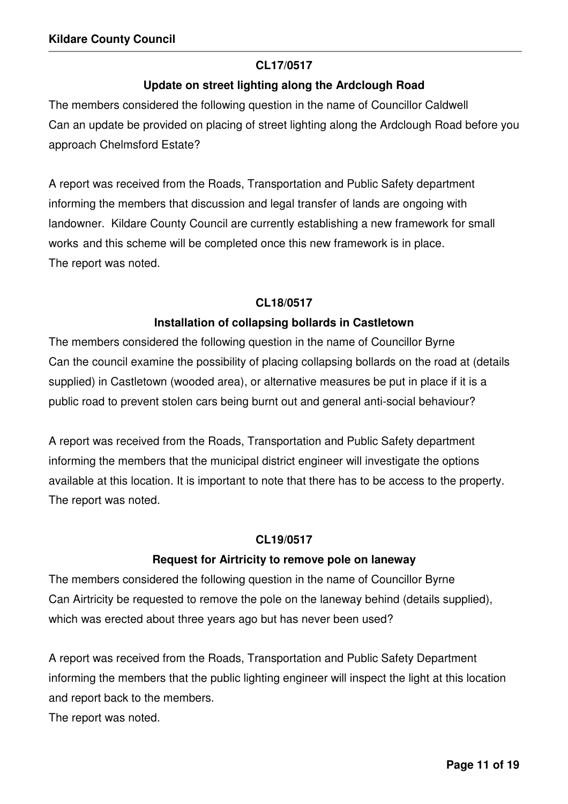#### **CL17/0517**

## **Update on street lighting along the Ardclough Road**

The members considered the following question in the name of Councillor Caldwell Can an update be provided on placing of street lighting along the Ardclough Road before you approach Chelmsford Estate?

A report was received from the Roads, Transportation and Public Safety department informing the members that discussion and legal transfer of lands are ongoing with landowner. Kildare County Council are currently establishing a new framework for small works and this scheme will be completed once this new framework is in place. The report was noted.

## **CL18/0517**

## **Installation of collapsing bollards in Castletown**

The members considered the following question in the name of Councillor Byrne Can the council examine the possibility of placing collapsing bollards on the road at (details supplied) in Castletown (wooded area), or alternative measures be put in place if it is a public road to prevent stolen cars being burnt out and general anti-social behaviour?

A report was received from the Roads, Transportation and Public Safety department informing the members that the municipal district engineer will investigate the options available at this location. It is important to note that there has to be access to the property. The report was noted.

## **CL19/0517**

## **Request for Airtricity to remove pole on laneway**

The members considered the following question in the name of Councillor Byrne Can Airtricity be requested to remove the pole on the laneway behind (details supplied), which was erected about three years ago but has never been used?

A report was received from the Roads, Transportation and Public Safety Department informing the members that the public lighting engineer will inspect the light at this location and report back to the members.

The report was noted.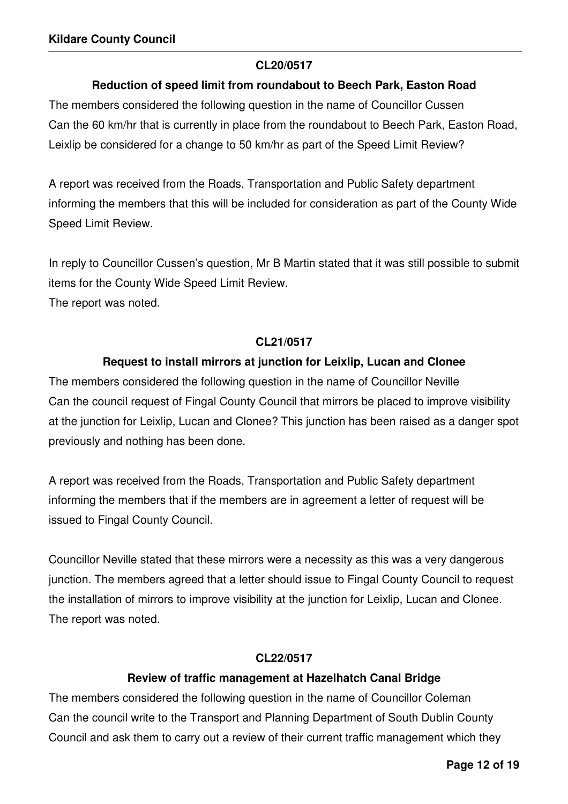#### **CL20/0517**

### **Reduction of speed limit from roundabout to Beech Park, Easton Road**

The members considered the following question in the name of Councillor Cussen Can the 60 km/hr that is currently in place from the roundabout to Beech Park, Easton Road, Leixlip be considered for a change to 50 km/hr as part of the Speed Limit Review?

A report was received from the Roads, Transportation and Public Safety department informing the members that this will be included for consideration as part of the County Wide Speed Limit Review.

In reply to Councillor Cussen's question, Mr B Martin stated that it was still possible to submit items for the County Wide Speed Limit Review. The report was noted.

#### **CL21/0517**

#### **Request to install mirrors at junction for Leixlip, Lucan and Clonee**

The members considered the following question in the name of Councillor Neville Can the council request of Fingal County Council that mirrors be placed to improve visibility at the junction for Leixlip, Lucan and Clonee? This junction has been raised as a danger spot previously and nothing has been done.

A report was received from the Roads, Transportation and Public Safety department informing the members that if the members are in agreement a letter of request will be issued to Fingal County Council.

Councillor Neville stated that these mirrors were a necessity as this was a very dangerous junction. The members agreed that a letter should issue to Fingal County Council to request the installation of mirrors to improve visibility at the junction for Leixlip, Lucan and Clonee. The report was noted.

#### **CL22/0517**

#### **Review of traffic management at Hazelhatch Canal Bridge**

The members considered the following question in the name of Councillor Coleman Can the council write to the Transport and Planning Department of South Dublin County Council and ask them to carry out a review of their current traffic management which they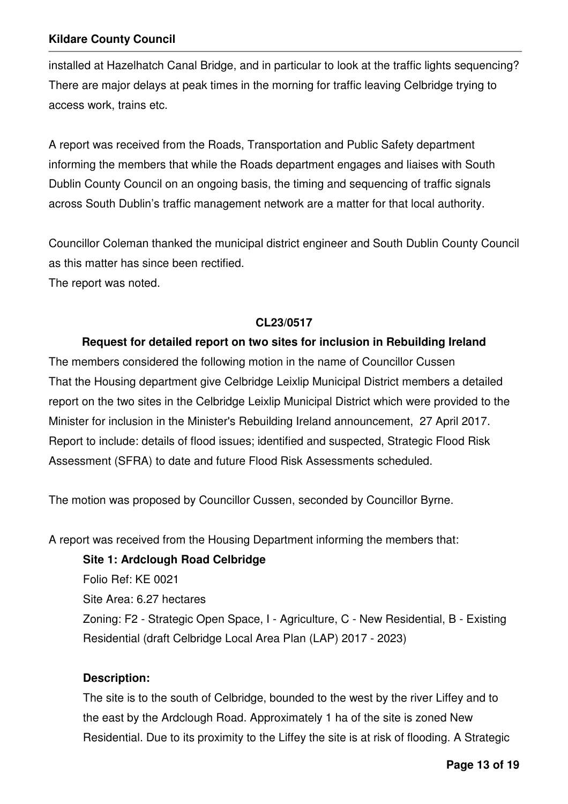installed at Hazelhatch Canal Bridge, and in particular to look at the traffic lights sequencing? There are major delays at peak times in the morning for traffic leaving Celbridge trying to access work, trains etc.

A report was received from the Roads, Transportation and Public Safety department informing the members that while the Roads department engages and liaises with South Dublin County Council on an ongoing basis, the timing and sequencing of traffic signals across South Dublin's traffic management network are a matter for that local authority.

Councillor Coleman thanked the municipal district engineer and South Dublin County Council as this matter has since been rectified. The report was noted.

### **CL23/0517**

### **Request for detailed report on two sites for inclusion in Rebuilding Ireland**

The members considered the following motion in the name of Councillor Cussen That the Housing department give Celbridge Leixlip Municipal District members a detailed report on the two sites in the Celbridge Leixlip Municipal District which were provided to the Minister for inclusion in the Minister's Rebuilding Ireland announcement, 27 April 2017. Report to include: details of flood issues; identified and suspected, Strategic Flood Risk Assessment (SFRA) to date and future Flood Risk Assessments scheduled.

The motion was proposed by Councillor Cussen, seconded by Councillor Byrne.

A report was received from the Housing Department informing the members that:

#### **Site 1: Ardclough Road Celbridge**

Folio Ref: KE 0021 Site Area: 6.27 hectares Zoning: F2 - Strategic Open Space, I - Agriculture, C - New Residential, B - Existing Residential (draft Celbridge Local Area Plan (LAP) 2017 - 2023)

#### **Description:**

The site is to the south of Celbridge, bounded to the west by the river Liffey and to the east by the Ardclough Road. Approximately 1 ha of the site is zoned New Residential. Due to its proximity to the Liffey the site is at risk of flooding. A Strategic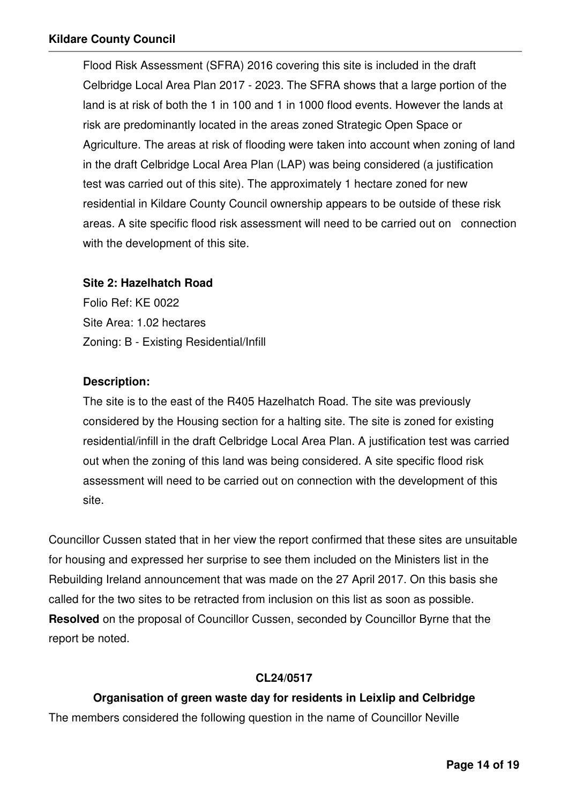Flood Risk Assessment (SFRA) 2016 covering this site is included in the draft Celbridge Local Area Plan 2017 - 2023. The SFRA shows that a large portion of the land is at risk of both the 1 in 100 and 1 in 1000 flood events. However the lands at risk are predominantly located in the areas zoned Strategic Open Space or Agriculture. The areas at risk of flooding were taken into account when zoning of land in the draft Celbridge Local Area Plan (LAP) was being considered (a justification test was carried out of this site). The approximately 1 hectare zoned for new residential in Kildare County Council ownership appears to be outside of these risk areas. A site specific flood risk assessment will need to be carried out on connection with the development of this site.

#### **Site 2: Hazelhatch Road**

Folio Ref: KE 0022 Site Area: 1.02 hectares Zoning: B - Existing Residential/Infill

### **Description:**

The site is to the east of the R405 Hazelhatch Road. The site was previously considered by the Housing section for a halting site. The site is zoned for existing residential/infill in the draft Celbridge Local Area Plan. A justification test was carried out when the zoning of this land was being considered. A site specific flood risk assessment will need to be carried out on connection with the development of this site.

Councillor Cussen stated that in her view the report confirmed that these sites are unsuitable for housing and expressed her surprise to see them included on the Ministers list in the Rebuilding Ireland announcement that was made on the 27 April 2017. On this basis she called for the two sites to be retracted from inclusion on this list as soon as possible. **Resolved** on the proposal of Councillor Cussen, seconded by Councillor Byrne that the report be noted.

## **CL24/0517**

## **Organisation of green waste day for residents in Leixlip and Celbridge**

The members considered the following question in the name of Councillor Neville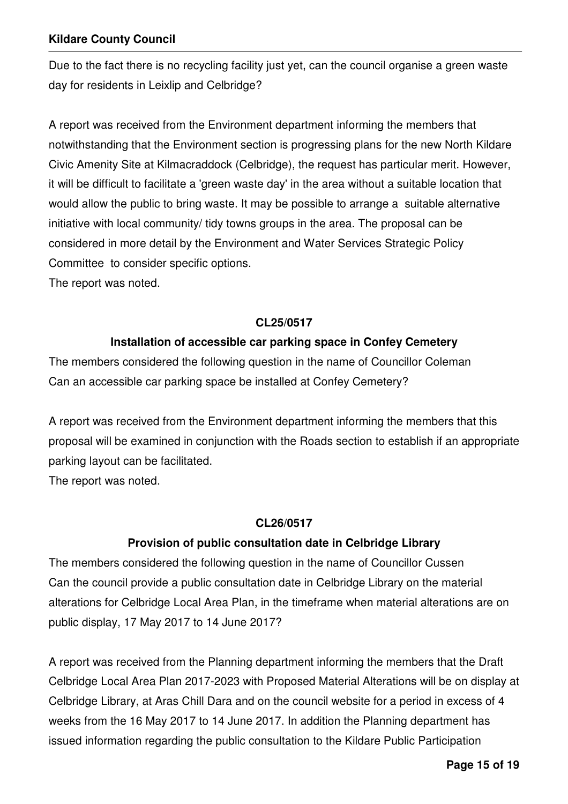Due to the fact there is no recycling facility just yet, can the council organise a green waste day for residents in Leixlip and Celbridge?

A report was received from the Environment department informing the members that notwithstanding that the Environment section is progressing plans for the new North Kildare Civic Amenity Site at Kilmacraddock (Celbridge), the request has particular merit. However, it will be difficult to facilitate a 'green waste day' in the area without a suitable location that would allow the public to bring waste. It may be possible to arrange a suitable alternative initiative with local community/ tidy towns groups in the area. The proposal can be considered in more detail by the Environment and Water Services Strategic Policy Committee to consider specific options.

The report was noted.

## **CL25/0517**

## **Installation of accessible car parking space in Confey Cemetery**

The members considered the following question in the name of Councillor Coleman Can an accessible car parking space be installed at Confey Cemetery?

A report was received from the Environment department informing the members that this proposal will be examined in conjunction with the Roads section to establish if an appropriate parking layout can be facilitated.

The report was noted.

## **CL26/0517**

## **Provision of public consultation date in Celbridge Library**

The members considered the following question in the name of Councillor Cussen Can the council provide a public consultation date in Celbridge Library on the material alterations for Celbridge Local Area Plan, in the timeframe when material alterations are on public display, 17 May 2017 to 14 June 2017?

A report was received from the Planning department informing the members that the Draft Celbridge Local Area Plan 2017-2023 with Proposed Material Alterations will be on display at Celbridge Library, at Aras Chill Dara and on the council website for a period in excess of 4 weeks from the 16 May 2017 to 14 June 2017. In addition the Planning department has issued information regarding the public consultation to the Kildare Public Participation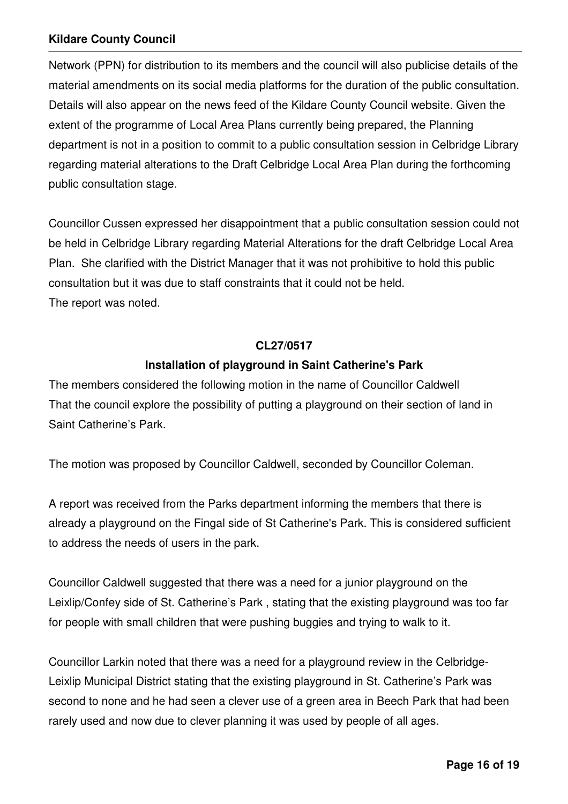Network (PPN) for distribution to its members and the council will also publicise details of the material amendments on its social media platforms for the duration of the public consultation. Details will also appear on the news feed of the Kildare County Council website. Given the extent of the programme of Local Area Plans currently being prepared, the Planning department is not in a position to commit to a public consultation session in Celbridge Library regarding material alterations to the Draft Celbridge Local Area Plan during the forthcoming public consultation stage.

Councillor Cussen expressed her disappointment that a public consultation session could not be held in Celbridge Library regarding Material Alterations for the draft Celbridge Local Area Plan. She clarified with the District Manager that it was not prohibitive to hold this public consultation but it was due to staff constraints that it could not be held. The report was noted.

#### **CL27/0517**

### **Installation of playground in Saint Catherine's Park**

The members considered the following motion in the name of Councillor Caldwell That the council explore the possibility of putting a playground on their section of land in Saint Catherine's Park.

The motion was proposed by Councillor Caldwell, seconded by Councillor Coleman.

A report was received from the Parks department informing the members that there is already a playground on the Fingal side of St Catherine's Park. This is considered sufficient to address the needs of users in the park.

Councillor Caldwell suggested that there was a need for a junior playground on the Leixlip/Confey side of St. Catherine's Park , stating that the existing playground was too far for people with small children that were pushing buggies and trying to walk to it.

Councillor Larkin noted that there was a need for a playground review in the Celbridge-Leixlip Municipal District stating that the existing playground in St. Catherine's Park was second to none and he had seen a clever use of a green area in Beech Park that had been rarely used and now due to clever planning it was used by people of all ages.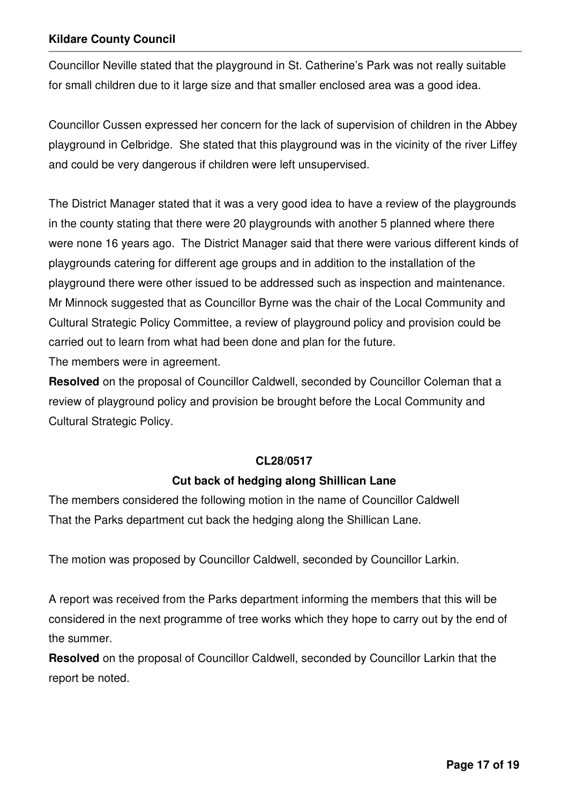Councillor Neville stated that the playground in St. Catherine's Park was not really suitable for small children due to it large size and that smaller enclosed area was a good idea.

Councillor Cussen expressed her concern for the lack of supervision of children in the Abbey playground in Celbridge. She stated that this playground was in the vicinity of the river Liffey and could be very dangerous if children were left unsupervised.

The District Manager stated that it was a very good idea to have a review of the playgrounds in the county stating that there were 20 playgrounds with another 5 planned where there were none 16 years ago. The District Manager said that there were various different kinds of playgrounds catering for different age groups and in addition to the installation of the playground there were other issued to be addressed such as inspection and maintenance. Mr Minnock suggested that as Councillor Byrne was the chair of the Local Community and Cultural Strategic Policy Committee, a review of playground policy and provision could be carried out to learn from what had been done and plan for the future.

The members were in agreement.

**Resolved** on the proposal of Councillor Caldwell, seconded by Councillor Coleman that a review of playground policy and provision be brought before the Local Community and Cultural Strategic Policy.

#### **CL28/0517**

## **Cut back of hedging along Shillican Lane**

The members considered the following motion in the name of Councillor Caldwell That the Parks department cut back the hedging along the Shillican Lane.

The motion was proposed by Councillor Caldwell, seconded by Councillor Larkin.

A report was received from the Parks department informing the members that this will be considered in the next programme of tree works which they hope to carry out by the end of the summer.

**Resolved** on the proposal of Councillor Caldwell, seconded by Councillor Larkin that the report be noted.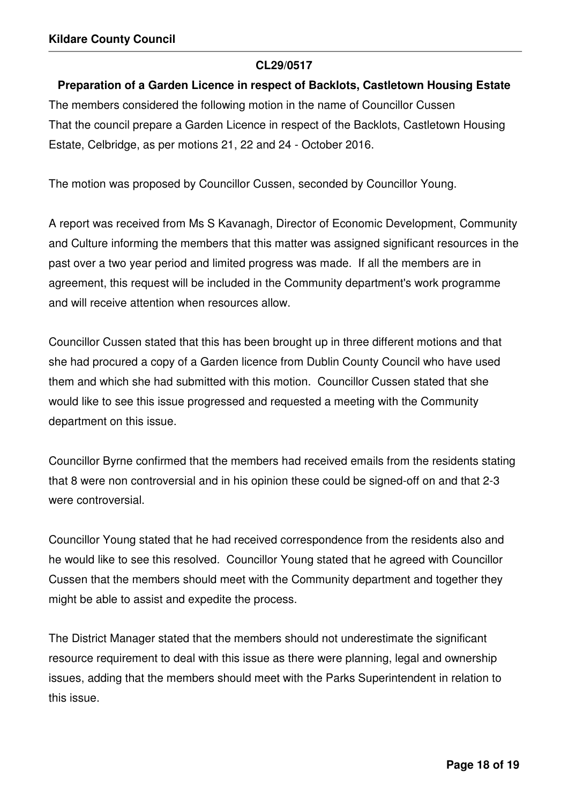#### **CL29/0517**

#### **Preparation of a Garden Licence in respect of Backlots, Castletown Housing Estate**

The members considered the following motion in the name of Councillor Cussen That the council prepare a Garden Licence in respect of the Backlots, Castletown Housing Estate, Celbridge, as per motions 21, 22 and 24 - October 2016.

The motion was proposed by Councillor Cussen, seconded by Councillor Young.

A report was received from Ms S Kavanagh, Director of Economic Development, Community and Culture informing the members that this matter was assigned significant resources in the past over a two year period and limited progress was made. If all the members are in agreement, this request will be included in the Community department's work programme and will receive attention when resources allow.

Councillor Cussen stated that this has been brought up in three different motions and that she had procured a copy of a Garden licence from Dublin County Council who have used them and which she had submitted with this motion. Councillor Cussen stated that she would like to see this issue progressed and requested a meeting with the Community department on this issue.

Councillor Byrne confirmed that the members had received emails from the residents stating that 8 were non controversial and in his opinion these could be signed-off on and that 2-3 were controversial.

Councillor Young stated that he had received correspondence from the residents also and he would like to see this resolved. Councillor Young stated that he agreed with Councillor Cussen that the members should meet with the Community department and together they might be able to assist and expedite the process.

The District Manager stated that the members should not underestimate the significant resource requirement to deal with this issue as there were planning, legal and ownership issues, adding that the members should meet with the Parks Superintendent in relation to this issue.